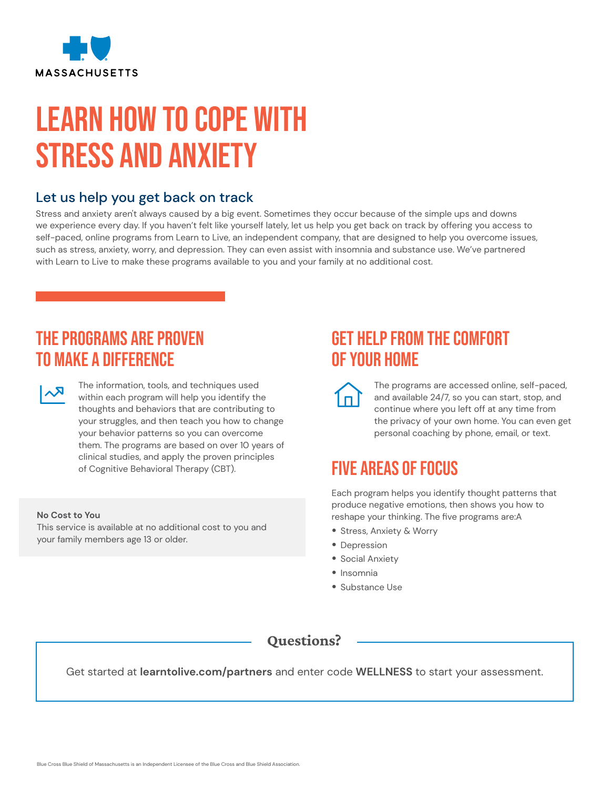

# Learn How to Cope with Stress and Anxiety

## Let us help you get back on track

Stress and anxiety aren't always caused by a big event. Sometimes they occur because of the simple ups and downs we experience every day. If you haven't felt like yourself lately, let us help you get back on track by offering you access to self-paced, online programs from Learn to Live, an independent company, that are designed to help you overcome issues, such as stress, anxiety, worry, and depression. They can even assist with insomnia and substance use. We've partnered with Learn to Live to make these programs available to you and your family at no additional cost.

## The Programs are Proven to Make a Difference

The information, tools, and techniques used<br>
within each program will help you identify the thoughts and behaviors that are contributing to your struggles, and then teach you how to change your behavior patterns so you can overcome them. The programs are based on over 10 years of clinical studies, and apply the proven principles of Cognitive Behavioral Therapy (CBT).

### **No Cost to You**

This service is available at no additional cost to you and your family members age 13 or older.

## Get Help From the Comfort of Your Home

The programs are accessed online, self-paced, and available 24/7, so you can start, stop, and continue where you left off at any time from the privacy of your own home. You can even get personal coaching by phone, email, or text.

## Five Areas of Focus

Each program helps you identify thought patterns that produce negative emotions, then shows you how to reshape your thinking. The five programs are:A

- Stress, Anxiety & Worry
- Depression
- Social Anxiety
- Insomnia
- Substance Use

### Questions?

Get started at **[learntolive.com/partners](https://learntolive.com/partners)** and enter code **WELLNESS** to start your assessment.